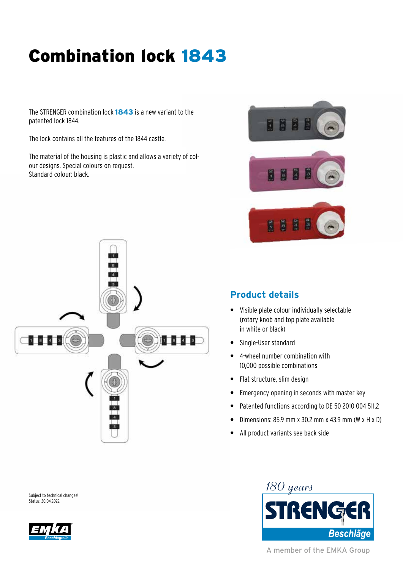# Combination lock 1843

The STRENGER combination lock **1843** is a new variant to the patented lock 1844.

The lock contains all the features of the 1844 castle.

The material of the housing is plastic and allows a variety of colour designs. Special colours on request. Standard colour: black.









### **Product details**

- **•** Visible plate colour individually selectable (rotary knob and top plate available in white or black)
- **•** Single-User standard
- **•** 4-wheel number combination with 10,000 possible combinations
- **•** Flat structure, slim design
- **•** Emergency opening in seconds with master key
- **•** Patented functions according to DE 50 2010 004 511.2
- **•** Dimensions: 85.9 mm x 30.2 mm x 43.9 mm (W x H x D)
- **•** All product variants see back side

Subject to technical changes! Status: 20.04.2022





A member of the EMKA Group